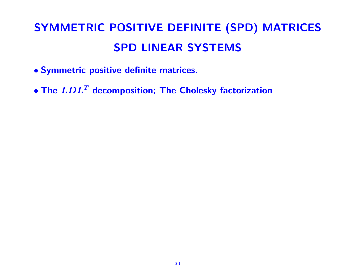# SYMMETRIC POSITIVE DEFINITE (SPD) MATRICES SPD LINEAR SYSTEMS

- Symmetric positive definite matrices.
- The  $LDL<sup>T</sup>$  decomposition; The Cholesky factorization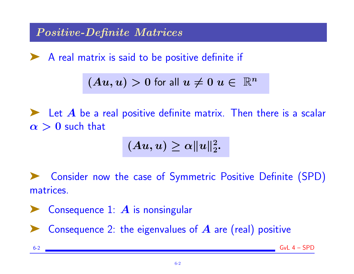Positive-Definite Matrices

◆ A real matrix is said to be positive definite if

$$
(Au, u) > 0 \text{ for all } u \neq 0 \text{ } u \in \mathbb{R}^n
$$

 $\blacktriangleright$  Let A be a real positive definite matrix. Then there is a scalar  $\alpha > 0$  such that

$$
(Au, u) \geq \alpha \|u\|_2^2.
$$

➤ Consider now the case of Symmetric Positive Definite (SPD) matrices.

**EXAMPLE 1** Consider 
$$
A
$$
 is nonsingular

Consequence 2: the eigenvalues of  $A$  are (real) positive

6-2 GvL 4 – SPD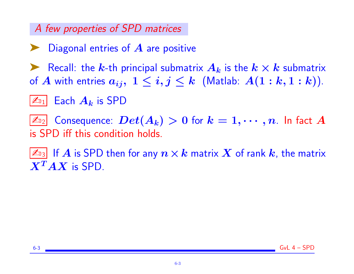## A few properties of SPD matrices

- Diagonal entries of  $A$  are positive
- Recall: the k-th principal submatrix  $A_k$  is the  $k \times k$  submatrix of A with entries  $a_{ij}$ ,  $1 \leq i, j \leq k$  (Matlab:  $A(1:k, 1:k)$ ).
- $|\mathcal{L}_{01}|$  Each  $A_k$  is SPD

 $|\mathbb{Z}_{\mathbb{D}_2}|$  Consequence:  $Det(A_k)>0$  for  $k=1,\cdots,n.$  In fact  $A$ is SPD iff this condition holds.

 $|\mathbb{A}_3|$  If  $A$  is SPD then for any  $n\times k$  matrix  $X$  of rank  $k$ , the matrix  $X^T A X$  is SPD.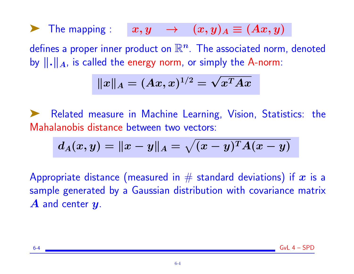The mapping :  $x, y \rightarrow (x, y)_A \equiv (Ax, y)_A$ defines a proper inner product on  $\mathbb{R}^n$ . The associated norm, denoted by  $\|\cdot\|_A$ , is called the energy norm, or simply the A-norm:

$$
\|x\|_A=(Ax,x)^{1/2}=\sqrt{x^TAx}
$$

Related measure in Machine Learning, Vision, Statistics: the Mahalanobis distance between two vectors:

$$
d_A(x,y) = \|x-y\|_A = \sqrt{(x-y)^T A (x-y)}
$$

Appropriate distance (measured in  $\#$  standard deviations) if  $\bm{x}$  is a sample generated by a Gaussian distribution with covariance matrix  $\boldsymbol{A}$  and center  $\boldsymbol{y}$ .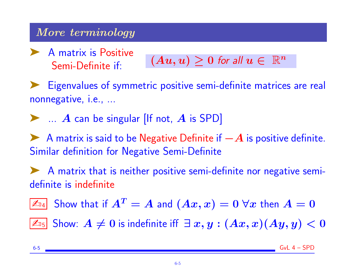## More terminology

➤ A matrix is Positive

Semi-Definite if:  $(Au, u) \geq 0$  for all  $u \in \mathbb{R}^n$ 

➤ Eigenvalues of symmetric positive semi-definite matrices are real nonnegative, i.e., ...

 $\blacktriangleright$  ... A can be singular [If not, A is SPD]

A matrix is said to be Negative Definite if  $-A$  is positive definite. Similar definition for Negative Semi-Definite

◆ A matrix that is neither positive semi-definite nor negative semidefinite is indefinite

 $\boxed{\mathbb{Z}_{\mathbb{D}4}}$  Show that if  $A^T=A$  and  $(Ax,x)=0$   $\forall x$  then  $A=0$ 

 $\boxed{\mathbb{Z}_{05}}$  Show:  $A ≠ 0$  is indefinite iff  $\exists x, y : (Ax, x)(Ay, y) < 0$ 

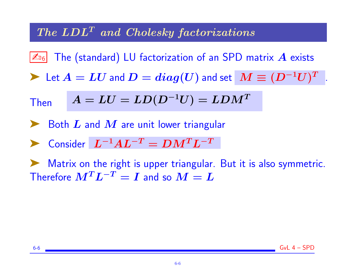### $The LDL<sup>T</sup>$  and Cholesky factorizations

اه $\mathbb{Z}_{^16}$   $\mid$  The (standard) LU factorization of an SPD matrix  $\bm{A}$  exists

 $\blacktriangleright$  Let  $A = LU$  and  $D = diag(U)$  and set  $\boxed{M \equiv (D^{-1}U)^T}$  .

Then 
$$
A = LU = LD(D^{-1}U) = LDM^{T}
$$

Both  $\boldsymbol{L}$  and  $\boldsymbol{M}$  are unit lower triangular

 $\blacktriangleright$  Consider  $L^{-1}AL^{-T} = DM^T L^{-T}$ 

Matrix on the right is upper triangular. But it is also symmetric. Therefore  $M^T L^{-T} = I$  and so  $M = L$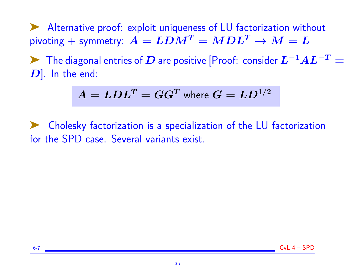➤ Alternative proof: exploit uniqueness of LU factorization without pivoting + symmetry:  $A = LDM^T = MDL^T \rightarrow M = L$ 

► The diagonal entries of  $D$  are positive [Proof: consider  $L^{-1}AL^{-T}=$  $[D]$ . In the end:

$$
A = LDL^T = GG^T \text{ where } G = LD^{1/2}
$$

➤ Cholesky factorization is a specialization of the LU factorization for the SPD case. Several variants exist.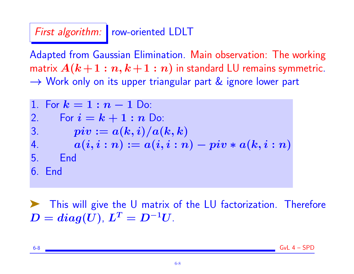First algorithm: row-oriented LDLT

Adapted from Gaussian Elimination. Main observation: The working matrix  $A(k+1:n,k+1:n)$  in standard LU remains symmetric. → Work only on its upper triangular part & ignore lower part

1. For 
$$
k = 1 : n - 1
$$
 Do:  
\n2. For  $i = k + 1 : n$  Do:  
\n3.  $piv := a(k, i)/a(k, k)$   
\n4.  $a(i, i : n) := a(i, i : n) - piv * a(k, i : n)$   
\n5. End  
\n6. End

➤ This will give the U matrix of the LU factorization. Therefore  $D = diag(U)$ ,  $L^T = D^{-1}U$ .

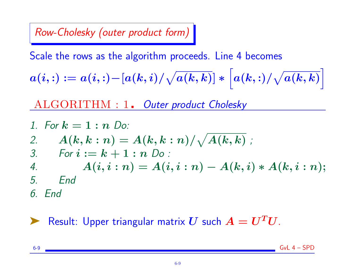## Row-Cholesky (outer product form)

Scale the rows as the algorithm proceeds. Line 4 becomes

$$
a(i,:) := a(i,:) - [a(k,i)/\sqrt{a(k,k)}] * \left[a(k,:)/\sqrt{a(k,k)}\right]
$$

ALGORITHM : 1. Outer product Cholesky

1. For 
$$
k = 1 : n
$$
 Do:  
\n2.  $A(k, k : n) = A(k, k : n) / \sqrt{A(k, k)}$ ;  
\n3. For  $i := k + 1 : n$  Do:  
\n4.  $A(i, i : n) = A(i, i : n) - A(k, i) * A(k, i : n)$ ;  
\n5. End  
\n6. End

## Result: Upper triangular matrix U such  $A = U<sup>T</sup>U$ .

 $6-9$  Gyl  $4 - SPD$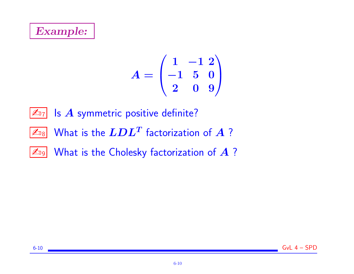## Example:

$$
A = \begin{pmatrix} 1 & -1 & 2 \\ -1 & 5 & 0 \\ 2 & 0 & 9 \end{pmatrix}
$$

 $\boxed{\mathbb{Z}_{D7}}$  Is  $A$  symmetric positive definite?

- $\boxed{\mathbb{Z}_{\text{D8}}}$  What is the  $LDL^T$  factorization of  $A$  ?
- $\boxed{\mathbb{Z}_{\text{D9}}}$  What is the Cholesky factorization of  $A$ ?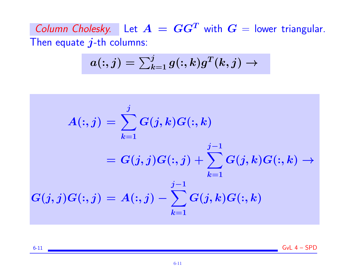Column Cholesky. Let  $A = GG^T$  with  $G =$  lower triangular. Then equate  $j$ -th columns:

$$
a(:,j) = \textstyle\sum_{k=1}^j g(:,k) g^T(k,j) \to
$$

$$
\begin{aligned} A(:,j) & = \sum_{k=1}^j G(j,k) G(:,k) \\ & = G(j,j) G(:,j) + \sum_{k=1}^{j-1} G(j,k) G(:,k) \rightarrow \\ G(j,j) G(:,j) & = A(:,j) - \sum_{k=1}^{j-1} G(j,k) G(:,k) \end{aligned}
$$

6-11 GvL 4 – SPD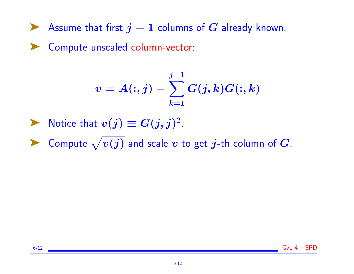► Assume that first  $j-1$  columns of  $G$  already known.

➤ Compute unscaled column-vector:

$$
v=A(:,j)-\sum_{k=1}^{j-1}G(j,k)G(:,k)
$$

- ▶ Notice that  $v(j) \equiv G(j, j)^2$ .
- ▶ Compute  $\sqrt{v(j)}$  and scale  $v$  to get  $j$ -th column of  $G$ .